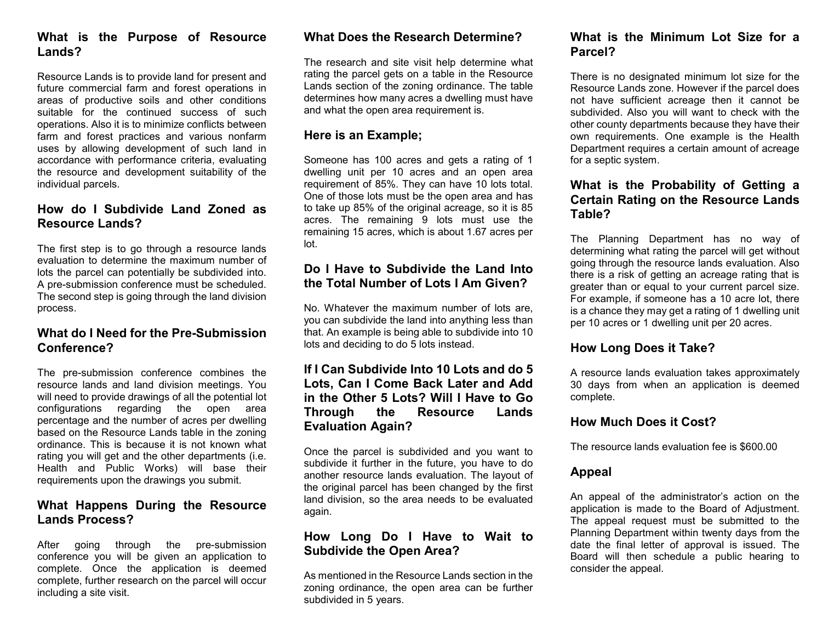### **What is the Purpose of Resource Lands?**

Resource Lands is to provide land for present and future commercial farm and forest operations in areas of productive soils and other conditions suitable for the continued success of such operations. Also it is to minimize conflicts between farm and forest practices and various nonfarm uses by allowing development of such land in accordance with performance criteria, evaluating the resource and development suitability of the individual parcels.

# **How do I Subdivide Land Zoned as Resource Lands?**

The first step is to go through a resource lands evaluation to determine the maximum number of lots the parcel can potentially be subdivided into. A pre-submission conference must be scheduled. The second step is going through the land division process.

## **What do I Need for the Pre-Submission Conference?**

The pre-submission conference combines the resource lands and land division meetings. You will need to provide drawings of all the potential lot configurations regarding the open area percentage and the number of acres per dwelling based on the Resource Lands table in the zoning ordinance. This is because it is not known what rating you will get and the other departments (i.e. Health and Public Works) will base their requirements upon the drawings you submit.

# **What Happens During the Resource Lands Process?**

After going through the pre-submission conference you will be given an application to complete. Once the application is deemed complete, further research on the parcel will occur including a site visit.

# **What Does the Research Determine?**

The research and site visit help determine what rating the parcel gets on a table in the Resource Lands section of the zoning ordinance. The table determines how many acres a dwelling must have and what the open area requirement is.

### **Here is an Example;**

Someone has 100 acres and gets a rating of 1 dwelling unit per 10 acres and an open area requirement of 85%. They can have 10 lots total. One of those lots must be the open area and has to take up 85% of the original acreage, so it is 85 acres. The remaining 9 lots must use the remaining 15 acres, which is about 1.67 acres per lot.

## **Do I Have to Subdivide the Land Into the Total Number of Lots I Am Given?**

No. Whatever the maximum number of lots are, you can subdivide the land into anything less than that. An example is being able to subdivide into 10 lots and deciding to do 5 lots instead.

## **If I Can Subdivide Into 10 Lots and do 5 Lots, Can I Come Back Later and Add in the Other 5 Lots? Will I Have to Go Through the Resource Lands Evaluation Again?**

Once the parcel is subdivided and you want to subdivide it further in the future, you have to do another resource lands evaluation. The layout of the original parcel has been changed by the first land division, so the area needs to be evaluated again.

### **How Long Do I Have to Wait to Subdivide the Open Area?**

As mentioned in the Resource Lands section in the zoning ordinance, the open area can be further subdivided in 5 years.

# **What is the Minimum Lot Size for a Parcel?**

There is no designated minimum lot size for the Resource Lands zone. However if the parcel does not have sufficient acreage then it cannot be subdivided. Also you will want to check with the other county departments because they have their own requirements. One example is the Health Department requires a certain amount of acreage for a septic system.

#### **What is the Probability of Getting a Certain Rating on the Resource Lands Table?**

The Planning Department has no way of determining what rating the parcel will get without going through the resource lands evaluation. Also there is a risk of getting an acreage rating that is greater than or equal to your current parcel size. For example, if someone has a 10 acre lot, there is a chance they may get a rating of 1 dwelling unit per 10 acres or 1 dwelling unit per 20 acres.

# **How Long Does it Take?**

A resource lands evaluation takes approximately 30 days from when an application is deemed complete.

## **How Much Does it Cost?**

The resource lands evaluation fee is \$600.00

## **Appeal**

An appeal of the administrator's action on the application is made to the Board of Adjustment. The appeal request must be submitted to the Planning Department within twenty days from the date the final letter of approval is issued. The Board will then schedule a public hearing to consider the appeal.